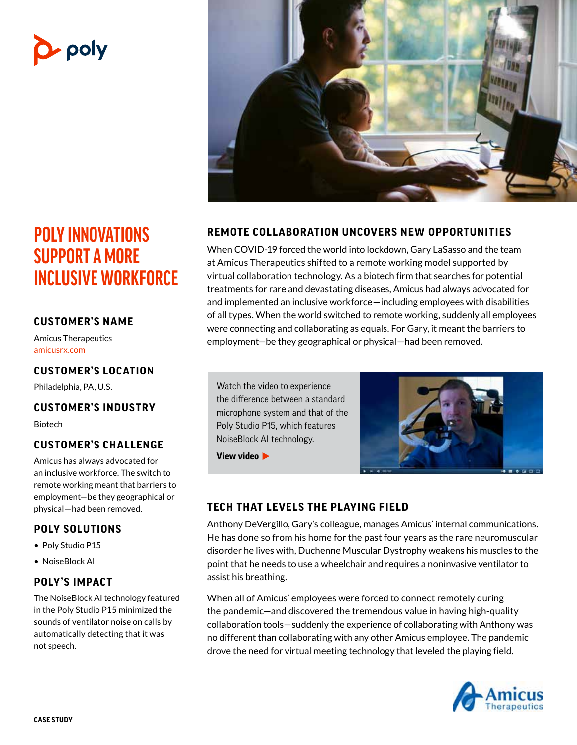# **D**-poly

## **POLY INNOVATIONS SUPPORT A MORE INCLUSIVE WORKFORCE**

#### **CUSTOMER'S NAME**

Amicus Therapeutics [amicusrx.com](https://www.amicusrx.com/)

#### **CUSTOMER'S LOCATION**

Philadelphia, PA, U.S.

#### **CUSTOMER'S INDUSTRY**

Biotech

#### **CUSTOMER'S CHALLENGE**

Amicus has always advocated for an inclusive workforce. The switch to remote working meant that barriers to employment—be they geographical or physical—had been removed.

#### **POLY SOLUTIONS**

- Poly Studio P15
- NoiseBlock AI

#### **POLY'S IMPACT**

The NoiseBlock AI technology featured in the Poly Studio P15 minimized the sounds of ventilator noise on calls by automatically detecting that it was not speech.



#### **REMOTE COLLABORATION UNCOVERS NEW OPPORTUNITIES**

When COVID-19 forced the world into lockdown, Gary LaSasso and the team at Amicus Therapeutics shifted to a remote working model supported by virtual collaboration technology. As a biotech firm that searches for potential treatments for rare and devastating diseases, Amicus had always advocated for and implemented an inclusive workforce—including employees with disabilities of all types. When the world switched to remote working, suddenly all employees were connecting and collaborating as equals. For Gary, it meant the barriers to employment—be they geographical or physical—had been removed.

Watch the video to experience the difference between a standard [microphone system and that of the](https://www.youtube.com/watch?v=3ZzJAzaAoqI)  Poly Studio P15, which features NoiseBlock AI technology.



**View video**

#### **TECH THAT LEVELS THE PLAYING FIELD**

Anthony DeVergillo, Gary's colleague, manages Amicus' internal communications. He has done so from his home for the past four years as the rare neuromuscular disorder he lives with, Duchenne Muscular Dystrophy weakens his muscles to the point that he needs to use a wheelchair and requires a noninvasive ventilator to assist his breathing.

When all of Amicus' employees were forced to connect remotely during the pandemic—and discovered the tremendous value in having high-quality collaboration tools—suddenly the experience of collaborating with Anthony was no different than collaborating with any other Amicus employee. The pandemic drove the need for virtual meeting technology that leveled the playing field.